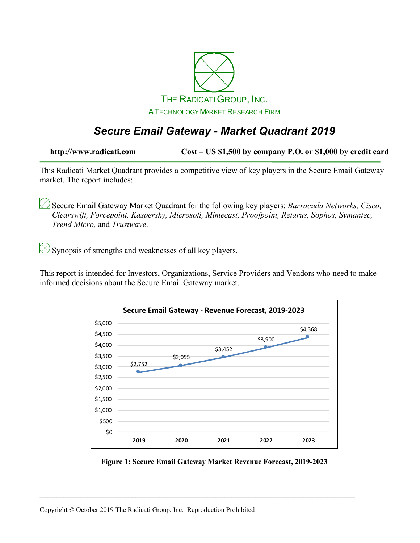

## *Secure Email Gateway - Market Quadrant 2019*

**http://www.radicati.com Cost – US \$1,500 by company P.O. or \$1,000 by credit card**

This Radicati Market Quadrant provides a competitive view of key players in the Secure Email Gateway market. The report includes:

Secure Email Gateway Market Quadrant for the following key players: *Barracuda Networks, Cisco, Clearswift, Forcepoint, Kaspersky, Microsoft, Mimecast, Proofpoint, Retarus, Sophos, Symantec, Trend Micro,* and *Trustwave*.

Synopsis of strengths and weaknesses of all key players.

This report is intended for Investors, Organizations, Service Providers and Vendors who need to make informed decisions about the Secure Email Gateway market.



**Figure 1: Secure Email Gateway Market Revenue Forecast, 2019-2023**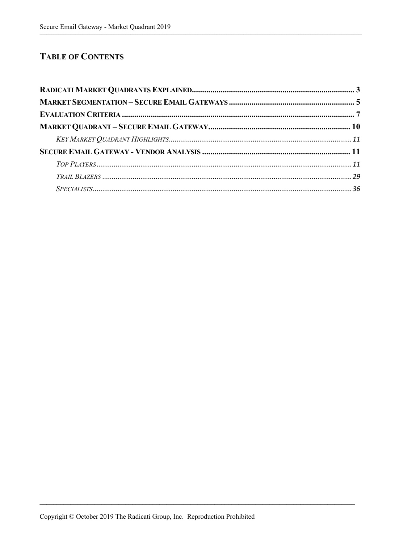## **TABLE OF CONTENTS**